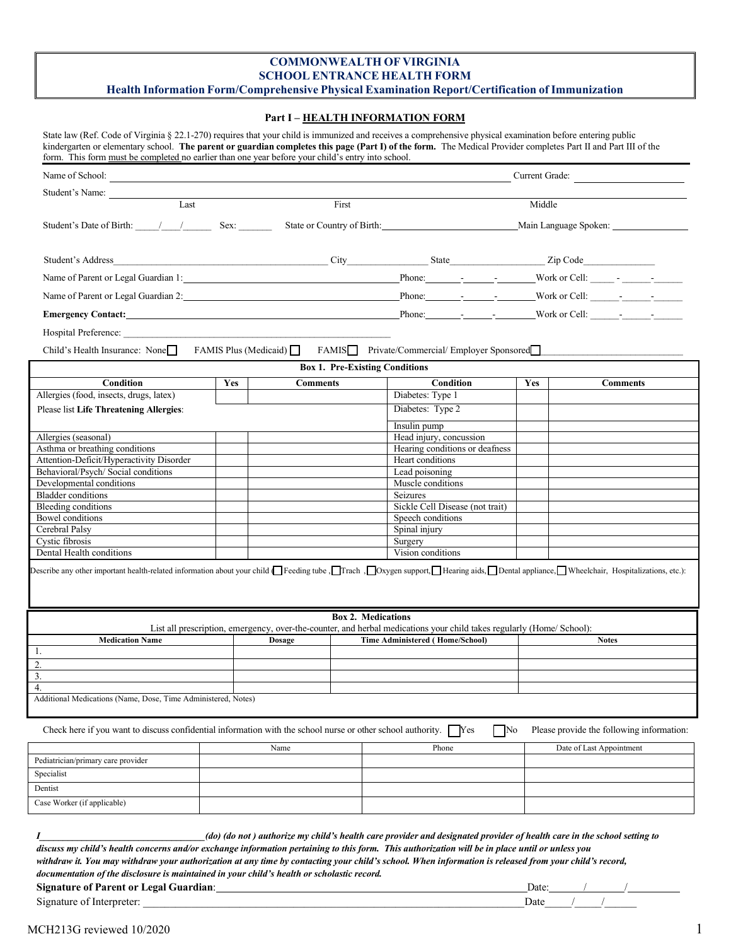### **COMMONWEALTH OF VIRGINIA SCHOOL ENTRANCE HEALTH FORM Health Information Form/Comprehensive Physical Examination Report/Certification of Immunization**

### **Part I – HEALTH INFORMATION FORM**

| State law (Ref. Code of Virginia § 22.1-270) requires that your child is immunized and receives a comprehensive physical examination before entering public    |
|----------------------------------------------------------------------------------------------------------------------------------------------------------------|
| kindergarten or elementary school. The parent or guardian completes this page (Part I) of the form. The Medical Provider completes Part II and Part III of the |
| form. This form must be completed no earlier than one year before your child's entry into school.                                                              |

| Student's Name:<br>Last<br>Student's Date of Birth: $\frac{1}{\sqrt{2}}$ Sex:<br>Student's Address<br>Child's Health Insurance: None<br>Condition<br>Allergies (food, insects, drugs, latex)<br>Please list Life Threatening Allergies:<br>Allergies (seasonal)<br>Asthma or breathing conditions<br>Attention-Deficit/Hyperactivity Disorder<br>Behavioral/Psych/ Social conditions<br>Developmental conditions<br><b>Bladder</b> conditions |               | First                                                                          | State or Country of Birth: 2008<br>$City$ State $\qquad \qquad$ State $\qquad \qquad$ Zip Code                        | Middle     | Main Language Spoken:                     |  |  |  |  |  |  |  |
|-----------------------------------------------------------------------------------------------------------------------------------------------------------------------------------------------------------------------------------------------------------------------------------------------------------------------------------------------------------------------------------------------------------------------------------------------|---------------|--------------------------------------------------------------------------------|-----------------------------------------------------------------------------------------------------------------------|------------|-------------------------------------------|--|--|--|--|--|--|--|
|                                                                                                                                                                                                                                                                                                                                                                                                                                               |               |                                                                                |                                                                                                                       |            |                                           |  |  |  |  |  |  |  |
|                                                                                                                                                                                                                                                                                                                                                                                                                                               |               |                                                                                |                                                                                                                       |            |                                           |  |  |  |  |  |  |  |
|                                                                                                                                                                                                                                                                                                                                                                                                                                               |               |                                                                                |                                                                                                                       |            |                                           |  |  |  |  |  |  |  |
|                                                                                                                                                                                                                                                                                                                                                                                                                                               |               |                                                                                |                                                                                                                       |            |                                           |  |  |  |  |  |  |  |
|                                                                                                                                                                                                                                                                                                                                                                                                                                               |               |                                                                                |                                                                                                                       |            |                                           |  |  |  |  |  |  |  |
|                                                                                                                                                                                                                                                                                                                                                                                                                                               |               | Name of Parent or Legal Guardian 2: Phone: Name of Parent or Legal Guardian 2: |                                                                                                                       |            |                                           |  |  |  |  |  |  |  |
|                                                                                                                                                                                                                                                                                                                                                                                                                                               |               |                                                                                |                                                                                                                       |            |                                           |  |  |  |  |  |  |  |
|                                                                                                                                                                                                                                                                                                                                                                                                                                               |               |                                                                                |                                                                                                                       |            |                                           |  |  |  |  |  |  |  |
|                                                                                                                                                                                                                                                                                                                                                                                                                                               |               |                                                                                | FAMIS Plus (Medicaid) FAMIS Private/Commercial/ Employer Sponsored                                                    |            |                                           |  |  |  |  |  |  |  |
|                                                                                                                                                                                                                                                                                                                                                                                                                                               |               | <b>Box 1. Pre-Existing Conditions</b>                                          |                                                                                                                       |            |                                           |  |  |  |  |  |  |  |
|                                                                                                                                                                                                                                                                                                                                                                                                                                               | <b>Yes</b>    | <b>Comments</b>                                                                | Condition                                                                                                             | <b>Yes</b> | <b>Comments</b>                           |  |  |  |  |  |  |  |
|                                                                                                                                                                                                                                                                                                                                                                                                                                               |               |                                                                                | Diabetes: Type 1                                                                                                      |            |                                           |  |  |  |  |  |  |  |
|                                                                                                                                                                                                                                                                                                                                                                                                                                               |               |                                                                                | Diabetes: Type 2                                                                                                      |            |                                           |  |  |  |  |  |  |  |
|                                                                                                                                                                                                                                                                                                                                                                                                                                               |               |                                                                                | Insulin pump                                                                                                          |            |                                           |  |  |  |  |  |  |  |
|                                                                                                                                                                                                                                                                                                                                                                                                                                               |               |                                                                                | Head injury, concussion                                                                                               |            |                                           |  |  |  |  |  |  |  |
|                                                                                                                                                                                                                                                                                                                                                                                                                                               |               |                                                                                | Hearing conditions or deafness                                                                                        |            |                                           |  |  |  |  |  |  |  |
|                                                                                                                                                                                                                                                                                                                                                                                                                                               |               |                                                                                | Heart conditions                                                                                                      |            |                                           |  |  |  |  |  |  |  |
|                                                                                                                                                                                                                                                                                                                                                                                                                                               |               |                                                                                | Lead poisoning                                                                                                        |            |                                           |  |  |  |  |  |  |  |
|                                                                                                                                                                                                                                                                                                                                                                                                                                               |               |                                                                                | Muscle conditions                                                                                                     |            |                                           |  |  |  |  |  |  |  |
|                                                                                                                                                                                                                                                                                                                                                                                                                                               |               |                                                                                | Seizures                                                                                                              |            |                                           |  |  |  |  |  |  |  |
| Bleeding conditions                                                                                                                                                                                                                                                                                                                                                                                                                           |               |                                                                                | Sickle Cell Disease (not trait)                                                                                       |            |                                           |  |  |  |  |  |  |  |
| Bowel conditions                                                                                                                                                                                                                                                                                                                                                                                                                              |               |                                                                                | Speech conditions                                                                                                     |            |                                           |  |  |  |  |  |  |  |
| Cerebral Palsy                                                                                                                                                                                                                                                                                                                                                                                                                                |               |                                                                                | Spinal injury                                                                                                         |            |                                           |  |  |  |  |  |  |  |
| Cystic fibrosis<br>Dental Health conditions                                                                                                                                                                                                                                                                                                                                                                                                   |               |                                                                                | Surgery<br>Vision conditions                                                                                          |            |                                           |  |  |  |  |  |  |  |
| Describe any other important health-related information about your child Feeding tube, Trach, Doxygen support, Hearing aids, Dental appliance, Wheelchair, Hospitalizations, etc.):                                                                                                                                                                                                                                                           |               |                                                                                |                                                                                                                       |            |                                           |  |  |  |  |  |  |  |
|                                                                                                                                                                                                                                                                                                                                                                                                                                               |               | <b>Box 2. Medications</b>                                                      |                                                                                                                       |            |                                           |  |  |  |  |  |  |  |
|                                                                                                                                                                                                                                                                                                                                                                                                                                               |               |                                                                                | List all prescription, emergency, over-the-counter, and herbal medications your child takes regularly (Home/ School): |            |                                           |  |  |  |  |  |  |  |
| <b>Medication Name</b><br>1.                                                                                                                                                                                                                                                                                                                                                                                                                  | <b>Dosage</b> |                                                                                | <b>Time Administered (Home/School)</b>                                                                                |            | <b>Notes</b>                              |  |  |  |  |  |  |  |
|                                                                                                                                                                                                                                                                                                                                                                                                                                               |               |                                                                                |                                                                                                                       |            |                                           |  |  |  |  |  |  |  |
| 2.                                                                                                                                                                                                                                                                                                                                                                                                                                            |               |                                                                                |                                                                                                                       |            |                                           |  |  |  |  |  |  |  |
| 3.<br>4.                                                                                                                                                                                                                                                                                                                                                                                                                                      |               |                                                                                |                                                                                                                       |            |                                           |  |  |  |  |  |  |  |
| Additional Medications (Name, Dose, Time Administered, Notes)                                                                                                                                                                                                                                                                                                                                                                                 |               |                                                                                |                                                                                                                       |            |                                           |  |  |  |  |  |  |  |
| Check here if you want to discuss confidential information with the school nurse or other school authority.                                                                                                                                                                                                                                                                                                                                   |               |                                                                                | No<br>  Yes                                                                                                           |            | Please provide the following information: |  |  |  |  |  |  |  |
|                                                                                                                                                                                                                                                                                                                                                                                                                                               | Name          |                                                                                | Phone                                                                                                                 |            | Date of Last Appointment                  |  |  |  |  |  |  |  |
| Pediatrician/primary care provider                                                                                                                                                                                                                                                                                                                                                                                                            |               |                                                                                |                                                                                                                       |            |                                           |  |  |  |  |  |  |  |
| Specialist                                                                                                                                                                                                                                                                                                                                                                                                                                    |               |                                                                                |                                                                                                                       |            |                                           |  |  |  |  |  |  |  |
| Dentist                                                                                                                                                                                                                                                                                                                                                                                                                                       |               |                                                                                |                                                                                                                       |            |                                           |  |  |  |  |  |  |  |
|                                                                                                                                                                                                                                                                                                                                                                                                                                               |               |                                                                                |                                                                                                                       |            |                                           |  |  |  |  |  |  |  |
| Case Worker (if applicable)                                                                                                                                                                                                                                                                                                                                                                                                                   |               |                                                                                |                                                                                                                       |            |                                           |  |  |  |  |  |  |  |
| (do) (do not) authorize my child's health care provider and designated provider of health care in the school setting to<br>discuss my child's health concerns and/or exchange information pertaining to this form. This authorization will be in place until or unless you                                                                                                                                                                    |               |                                                                                |                                                                                                                       |            |                                           |  |  |  |  |  |  |  |

| -<br>- -<br>Sionafure of<br>. Interpreter | -       | Date<br>_______ | ________ |  |  |
|-------------------------------------------|---------|-----------------|----------|--|--|
| $"$ revisions $'$<br>M                    | 10/2020 |                 |          |  |  |

*documentation of the disclosure is maintained in your child's health or scholastic record.*

**Signature of Parent or Legal Guardian:** Date: Determined by Date: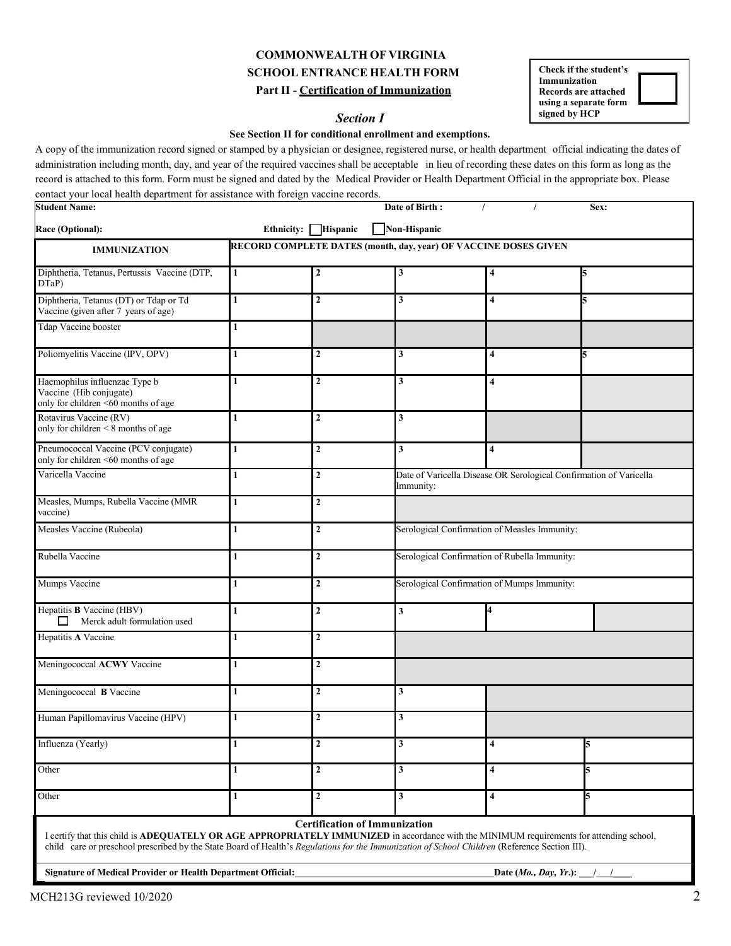# **COMMONWEALTH OF VIRGINIA SCHOOL ENTRANCE HEALTH FORM Part II - Certification of Immunization**

## **Section I**

**Check if the student's Immunization Records are attached using a separate form**

### **See Section II for conditional enrollment and exemptions.**

A copy of the immunization record signed or stamped by a physician or designee, registered nurse, or health department official indicating the dates of administration including month, day, and year of the required vaccines shall be acceptable in lieu of recording these dates on this form as long as the record is attached to this form. Form must be signed and dated by the Medical Provider or Health Department Official in the appropriate box. Please contact your local health department for assistance with foreign vaccine records.

| <b>Student Name:</b>                                                                                                                                                                                                                                                                       |                                                                                                     |                     | Date of Birth:                       |                                               | Sex:          |  |  |  |  |  |  |  |
|--------------------------------------------------------------------------------------------------------------------------------------------------------------------------------------------------------------------------------------------------------------------------------------------|-----------------------------------------------------------------------------------------------------|---------------------|--------------------------------------|-----------------------------------------------|---------------|--|--|--|--|--|--|--|
| Race (Optional):                                                                                                                                                                                                                                                                           |                                                                                                     | Ethnicity: Hispanic | Non-Hispanic                         |                                               |               |  |  |  |  |  |  |  |
| <b>IMMUNIZATION</b>                                                                                                                                                                                                                                                                        | RECORD COMPLETE DATES (month, day, year) OF VACCINE DOSES GIVEN                                     |                     |                                      |                                               |               |  |  |  |  |  |  |  |
| Diphtheria, Tetanus, Pertussis Vaccine (DTP,<br>DTaP                                                                                                                                                                                                                                       | $\mathbf{1}$                                                                                        | $\mathbf{2}$        | 3                                    | 4                                             |               |  |  |  |  |  |  |  |
| Diphtheria, Tetanus (DT) or Tdap or Td<br>Vaccine (given after 7 years of age)                                                                                                                                                                                                             | $\mathbf{1}$                                                                                        | $\overline{2}$      | 3                                    | 4                                             |               |  |  |  |  |  |  |  |
| Tdap Vaccine booster                                                                                                                                                                                                                                                                       | 1                                                                                                   |                     |                                      |                                               |               |  |  |  |  |  |  |  |
| Poliomyelitis Vaccine (IPV, OPV)                                                                                                                                                                                                                                                           | 1                                                                                                   | $\mathbf{2}$        | 3                                    | 4                                             |               |  |  |  |  |  |  |  |
| Haemophilus influenzae Type b<br>Vaccine (Hib conjugate)<br>only for children <60 months of age                                                                                                                                                                                            | 1                                                                                                   | $\overline{2}$      | 3                                    | 4                                             |               |  |  |  |  |  |  |  |
| Rotavirus Vaccine (RV)<br>only for children < 8 months of age                                                                                                                                                                                                                              | 1                                                                                                   | $\mathbf{2}$        | 3                                    |                                               |               |  |  |  |  |  |  |  |
| Pneumococcal Vaccine (PCV conjugate)<br>only for children <60 months of age                                                                                                                                                                                                                | $\mathbf{1}$                                                                                        | $\overline{2}$      | 3 <sup>1</sup>                       | $\overline{\mathbf{4}}$                       |               |  |  |  |  |  |  |  |
| Varicella Vaccine                                                                                                                                                                                                                                                                          | $\mathbf 2$<br>Date of Varicella Disease OR Serological Confirmation of Varicella<br>1<br>Immunity: |                     |                                      |                                               |               |  |  |  |  |  |  |  |
| Measles, Mumps, Rubella Vaccine (MMR<br>vaccine)                                                                                                                                                                                                                                           | 1                                                                                                   | $\mathbf{2}$        |                                      |                                               |               |  |  |  |  |  |  |  |
| Measles Vaccine (Rubeola)                                                                                                                                                                                                                                                                  | 1                                                                                                   | $\mathbf{2}$        |                                      | Serological Confirmation of Measles Immunity: |               |  |  |  |  |  |  |  |
| Rubella Vaccine                                                                                                                                                                                                                                                                            | $\mathbf{1}$                                                                                        | $\overline{2}$      |                                      | Serological Confirmation of Rubella Immunity: |               |  |  |  |  |  |  |  |
| Mumps Vaccine                                                                                                                                                                                                                                                                              | 1                                                                                                   | $\mathbf{2}$        |                                      | Serological Confirmation of Mumps Immunity:   |               |  |  |  |  |  |  |  |
| Hepatitis <b>B</b> Vaccine (HBV)<br>П<br>Merck adult formulation used                                                                                                                                                                                                                      | 1                                                                                                   | $\overline{2}$      | 3                                    |                                               |               |  |  |  |  |  |  |  |
| Hepatitis A Vaccine                                                                                                                                                                                                                                                                        | 1                                                                                                   | $\overline{2}$      |                                      |                                               |               |  |  |  |  |  |  |  |
| Meningococcal ACWY Vaccine                                                                                                                                                                                                                                                                 | 1                                                                                                   | $\overline{2}$      |                                      |                                               |               |  |  |  |  |  |  |  |
| Meningococcal B Vaccine                                                                                                                                                                                                                                                                    | 1                                                                                                   | $\overline{2}$      | 3                                    |                                               |               |  |  |  |  |  |  |  |
| Human Papillomavirus Vaccine (HPV)                                                                                                                                                                                                                                                         | 1                                                                                                   | $\mathbf{2}$        | 3                                    |                                               |               |  |  |  |  |  |  |  |
| Influenza (Yearly)                                                                                                                                                                                                                                                                         | 1                                                                                                   | $\boldsymbol{2}$    | 3                                    | 4                                             |               |  |  |  |  |  |  |  |
| Other                                                                                                                                                                                                                                                                                      | $\mathbf{1}$                                                                                        | $\mathbf{2}$        | 3                                    | 4                                             | 5             |  |  |  |  |  |  |  |
| Other                                                                                                                                                                                                                                                                                      | 1                                                                                                   | $\overline{2}$      | 3                                    | $\overline{\mathbf{4}}$                       | 5             |  |  |  |  |  |  |  |
| I certify that this child is ADEQUATELY OR AGE APPROPRIATELY IMMUNIZED in accordance with the MINIMUM requirements for attending school,<br>child care or preschool prescribed by the State Board of Health's Regulations for the Immunization of School Children (Reference Section III). |                                                                                                     |                     | <b>Certification of Immunization</b> |                                               |               |  |  |  |  |  |  |  |
| Signature of Medical Provider or Health Department Official:                                                                                                                                                                                                                               |                                                                                                     |                     |                                      | Date (Mo., Day, Yr.): $_{-}$                  | $\frac{1}{2}$ |  |  |  |  |  |  |  |

 $MCH213G$  reviewed  $10/2020$  2 T<br>T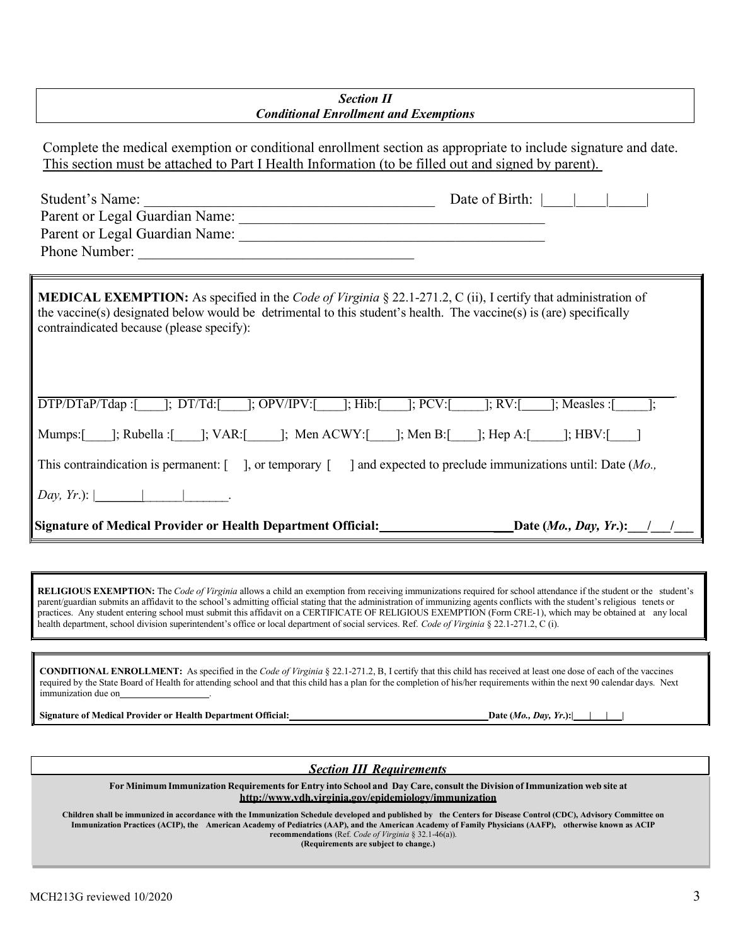## *Section II Conditional Enrollment and Exemptions*

Complete the medical exemption or conditional enrollment section as appropriate to include signature and date. This section must be attached to Part I Health Information (to be filled out and signed by parent).

| Student's Name:<br>Parent or Legal Guardian Name:<br>Phone Number:                                                                                                                                                                                                                               | Date of Birth: |
|--------------------------------------------------------------------------------------------------------------------------------------------------------------------------------------------------------------------------------------------------------------------------------------------------|----------------|
| <b>MEDICAL EXEMPTION:</b> As specified in the <i>Code of Virginia</i> § 22.1-271.2, C (ii), I certify that administration of<br>the vaccine(s) designated below would be detrimental to this student's health. The vaccine(s) is (are) specifically<br>contraindicated because (please specify): |                |
| $DTP/DTaP/Tap$ : [; $DTT/d$ : [; $DPY/TPV$ : [; $T$ ]; $FCV$ : [; $PCV$ : [; $RV$ : [; $RV$ : [; $N$ easles: [                                                                                                                                                                                   |                |
| Mumps: [ ]; Rubella : [ ]; VAR: [ ]; Men ACWY: [ ]; Men B: [ ]; Hep A: [ ]; HBV: [                                                                                                                                                                                                               |                |
| This contraindication is permanent: $\begin{bmatrix} 1 \\ 0 \end{bmatrix}$ , or temporary $\begin{bmatrix} 1 \\ 0 \end{bmatrix}$ and expected to preclude immunizations until: Date ( <i>Mo.</i> ,                                                                                               |                |
| $Day, Yr.):$                                                                                                                                                                                                                                                                                     |                |
| Signature of Medical Provider or Health Department Official: Date (Mo., Day, Yr.): /                                                                                                                                                                                                             |                |
|                                                                                                                                                                                                                                                                                                  |                |

**RELIGIOUS EXEMPTION:** The *Code of Virginia* allows a child an exemption from receiving immunizations required for school attendance if the student or the student's parent/guardian submits an affidavit to the school's admitting official stating that the administration of immunizing agents conflicts with the student's religious tenets or practices. Any student entering school must submit this affidavit on a CERTIFICATE OF RELIGIOUS EXEMPTION (Form CRE-1), which may be obtained at any local health department, school division superintendent's office or local department of social services. Ref. *Code of Virginia* § 22.1-271.2, C (i).

**CONDITIONAL ENROLLMENT:** As specified in the *Code of Virginia* § 22.1-271.2, B, I certify that this child has received at least one dose of each of the vaccines required by the State Board of Health for attending school and that this child has a plan for the completion of his/her requirements within the next 90 calendar days. Next immunization due on

**Signature of Medical Provider or Health Department Official: Date (***Mo., Day, Yr***.):| | | |**

*Section III Requirements*

For Minimum Immunization Requirements for Entry into School and Day Care, consult the Division of Immunization web site at **<http://www.vdh.virginia.gov/epidemiology/immunization>**

Children shall be immunized in accordance with the Immunization Schedule developed and published by the Centers for Disease Control (CDC), Advisory Committee on Immunization Practices (ACIP), the American Academy of Pediatrics (AAP), and the American Academy of Family Physicians (AAFP), otherwise known as ACIP **recommendations** (Ref. *Code of Virginia* § 32.1-46(a)).

**(Requirements are subject to change.)**